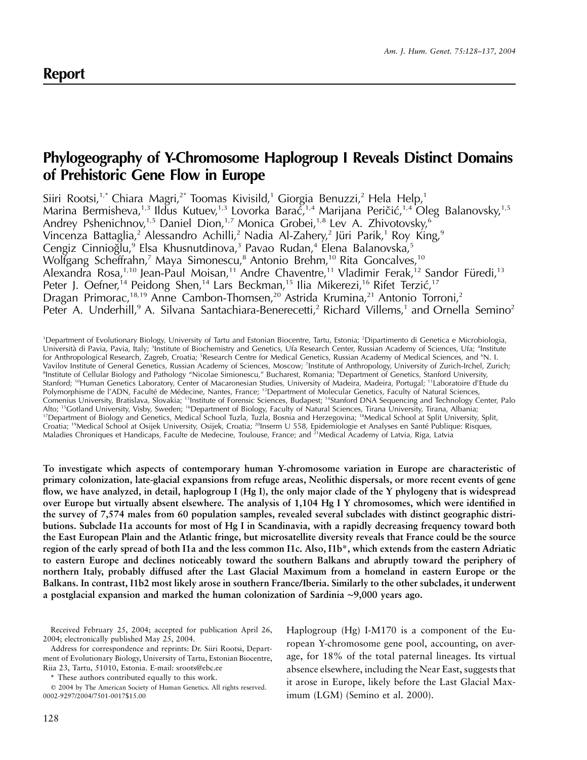# **Phylogeography of Y-Chromosome Haplogroup I Reveals Distinct Domains of Prehistoric Gene Flow in Europe**

Siiri Rootsi,<sup>1,\*</sup> Chiara Magri,<sup>2\*</sup> Toomas Kivisild,<sup>1</sup> Giorgia Benuzzi,<sup>2</sup> Hela Help,<sup>1</sup> Marina Bermisheva,<sup>1,3</sup> Ildus Kutuev,<sup>1,3</sup> Lovorka Barać,<sup>1,4</sup> Marijana Peričić,<sup>1,4</sup> Oleg Balanovsky,<sup>1,5</sup> Andrey Pshenichnov,<sup>1,5</sup> Daniel Dion,<sup>1,7</sup> Monica Grobei,<sup>1,8</sup> Lev A. Zhivotovsky,<sup>6</sup> Vincenza Battaglia,<sup>2</sup> Alessandro Achilli,<sup>2</sup> Nadia Al-Zahery,<sup>2</sup> Jüri Parik,<sup>1</sup> Roy King,<sup>9</sup> Cengiz Cinnioğlu,<sup>9</sup> Elsa Khusnutdinova,<sup>3</sup> Pavao Rudan,<sup>4</sup> Elena Balanovska,<sup>5</sup> Wolfgang Scheffrahn,<sup>7</sup> Maya Simonescu,<sup>8</sup> Antonio Brehm,<sup>10</sup> Rita Goncalves,<sup>10</sup> Alexandra Rosa,<sup>1,10</sup> Jean-Paul Moisan,<sup>11</sup> Andre Chaventre,<sup>11</sup> Vladimir Ferak,<sup>12</sup> Sandor Füredi,<sup>13</sup> Peter J. Oefner,<sup>14</sup> Peidong Shen,<sup>14</sup> Lars Beckman,<sup>15</sup> Ilia Mikerezi,<sup>16</sup> Rifet Terzić,<sup>17</sup> Dragan Primorac,<sup>18,19</sup> Anne Cambon-Thomsen,<sup>20</sup> Astrida Krumina,<sup>21</sup> Antonio Torroni,<sup>2</sup> Peter A. Underhill,<sup>9</sup> A. Silvana Santachiara-Benerecetti,<sup>2</sup> Richard Villems,<sup>1</sup> and Ornella Semino<sup>2</sup>

1 Department of Evolutionary Biology, University of Tartu and Estonian Biocentre, Tartu, Estonia; <sup>2</sup> Dipartimento di Genetica e Microbiologia, Università di Pavia, Pavia, Italy; <sup>3</sup>Institute of Biochemistry and Genetics, Ufa Research Center, Russian Academy of Sciences, Ufa; <sup>4</sup>Institute for Anthropological Research, Zagreb, Croatia; <sup>5</sup>Research Centre for Medical Genetics, Russian Academy of Medical Sciences, and <sup>6</sup>N. I. Vavilov Institute of General Genetics, Russian Academy of Sciences, Moscow; <sup>7</sup>Institute of Anthropology, University of Zurich-Irchel, Zurich; 8 Institute of Cellular Biology and Pathology "Nicolae Simionescu," Bucharest, Romania; <sup>9</sup> Department of Genetics, Stanford University, Stanford; <sup>10</sup>Human Genetics Laboratory, Center of Macaronesian Studies, University of Madeira, Madeira, Portugal; <sup>11</sup>Laboratoire d'Etude du Polymorphisme de l'ADN, Faculté de Médecine, Nantes, France; <sup>12</sup>Department of Molecular Genetics, Faculty of Natural Sciences, Comenius University, Bratislava, Slovakia; <sup>13</sup>Institute of Forensic Sciences, Budapest; <sup>14</sup>Stanford DNA Sequencing and Technology Center, Palo Alto; <sup>15</sup>Gotland University, Visby, Sweden; <sup>16</sup>Department of Biology, Faculty of Natural Sciences, Tirana University, Tirana, Albania; <sup>17</sup>Department of Biology and Genetics, Medical School Tuzla, Tuzla, Bosnia and Herzegovina; <sup>18</sup>Medical School at Split University, Split, Croatia; 19Medical School at Osijek University, Osijek, Croatia; 20Inserm U 558, Epidemiologie et Analyses en Sante´ Publique: Risques, Maladies Chroniques et Handicaps, Faculte de Medecine, Toulouse, France; and <sup>21</sup>Medical Academy of Latvia, Riga, Latvia

**To investigate which aspects of contemporary human Y-chromosome variation in Europe are characteristic of primary colonization, late-glacial expansions from refuge areas, Neolithic dispersals, or more recent events of gene flow, we have analyzed, in detail, haplogroup I (Hg I), the only major clade of the Y phylogeny that is widespread over Europe but virtually absent elsewhere. The analysis of 1,104 Hg I Y chromosomes, which were identified in the survey of 7,574 males from 60 population samples, revealed several subclades with distinct geographic distributions. Subclade I1a accounts for most of Hg I in Scandinavia, with a rapidly decreasing frequency toward both the East European Plain and the Atlantic fringe, but microsatellite diversity reveals that France could be the source region of the early spread of both I1a and the less common I1c. Also, I1b\*, which extends from the eastern Adriatic to eastern Europe and declines noticeably toward the southern Balkans and abruptly toward the periphery of northern Italy, probably diffused after the Last Glacial Maximum from a homeland in eastern Europe or the Balkans. In contrast, I1b2 most likely arose in southern France/Iberia. Similarly to the other subclades, it underwent a postglacial expansion and marked the human colonization of Sardinia** ∼**9,000 years ago.**

Received February 25, 2004; accepted for publication April 26, 2004; electronically published May 25, 2004.

Address for correspondence and reprints: Dr. Siiri Rootsi, Department of Evolutionary Biology, University of Tartu, Estonian Biocentre, Riia 23, Tartu, 51010, Estonia. E-mail: sroots@ebc.ee

\* These authors contributed equally to this work. 2004 by The American Society of Human Genetics. All rights reserved.

0002-9297/2004/7501-0017\$15.00

Haplogroup (Hg) I-M170 is a component of the European Y-chromosome gene pool, accounting, on average, for 18% of the total paternal lineages. Its virtual absence elsewhere, including the Near East, suggests that it arose in Europe, likely before the Last Glacial Maximum (LGM) (Semino et al. 2000).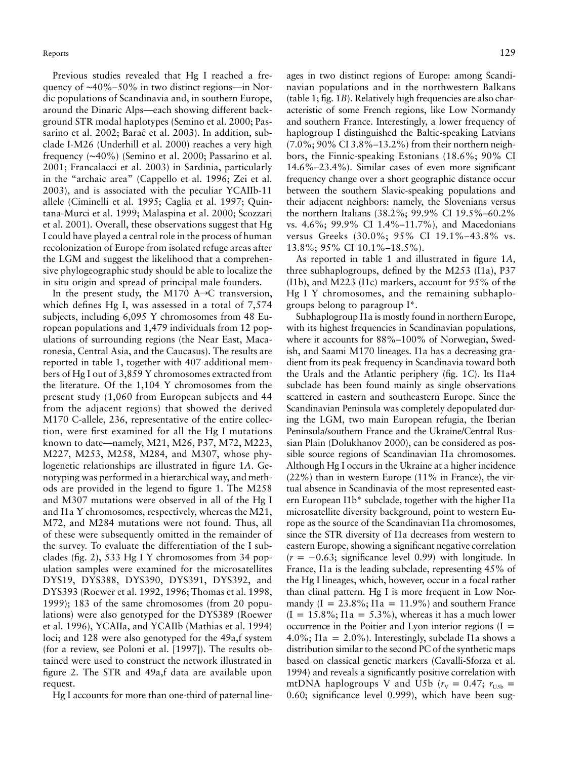Previous studies revealed that Hg I reached a frequency of ~40%–50% in two distinct regions—in Nordic populations of Scandinavia and, in southern Europe, around the Dinaric Alps—each showing different background STR modal haplotypes (Semino et al. 2000; Passarino et al. 2002; Barać et al. 2003). In addition, subclade I-M26 (Underhill et al. 2000) reaches a very high frequency (∼40%) (Semino et al. 2000; Passarino et al. 2001; Francalacci et al. 2003) in Sardinia, particularly in the "archaic area" (Cappello et al. 1996; Zei et al. 2003), and is associated with the peculiar YCAIIb-11 allele (Ciminelli et al. 1995; Caglia et al. 1997; Quintana-Murci et al. 1999; Malaspina et al. 2000; Scozzari et al. 2001). Overall, these observations suggest that Hg I could have played a central role in the process of human recolonization of Europe from isolated refuge areas after the LGM and suggest the likelihood that a comprehensive phylogeographic study should be able to localize the in situ origin and spread of principal male founders.

In the present study, the M170  $A\rightarrow C$  transversion, which defines Hg I, was assessed in a total of 7,574 subjects, including 6,095 Y chromosomes from 48 European populations and 1,479 individuals from 12 populations of surrounding regions (the Near East, Macaronesia, Central Asia, and the Caucasus). The results are reported in table 1, together with 407 additional members of Hg I out of 3,859 Y chromosomes extracted from the literature. Of the 1,104 Y chromosomes from the present study (1,060 from European subjects and 44 from the adjacent regions) that showed the derived M170 C-allele, 236, representative of the entire collection, were first examined for all the Hg I mutations known to date—namely, M21, M26, P37, M72, M223, M227, M253, M258, M284, and M307, whose phylogenetic relationships are illustrated in figure 1*A*. Genotyping was performed in a hierarchical way, and methods are provided in the legend to figure 1. The M258 and M307 mutations were observed in all of the Hg I and I1a Y chromosomes, respectively, whereas the M21, M72, and M284 mutations were not found. Thus, all of these were subsequently omitted in the remainder of the survey. To evaluate the differentiation of the I subclades (fig. 2), 533 Hg I Y chromosomes from 34 population samples were examined for the microsatellites DYS19, DYS388, DYS390, DYS391, DYS392, and DYS393 (Roewer et al. 1992, 1996; Thomas et al. 1998, 1999); 183 of the same chromosomes (from 20 populations) were also genotyped for the DYS389 (Roewer et al. 1996), YCAIIa, and YCAIIb (Mathias et al. 1994) loci; and 128 were also genotyped for the 49a,f system (for a review, see Poloni et al. [1997]). The results obtained were used to construct the network illustrated in figure 2. The STR and 49a,f data are available upon request.

Hg I accounts for more than one-third of paternal line-

ages in two distinct regions of Europe: among Scandinavian populations and in the northwestern Balkans (table 1; fig. 1*B*). Relatively high frequencies are also characteristic of some French regions, like Low Normandy and southern France. Interestingly, a lower frequency of haplogroup I distinguished the Baltic-speaking Latvians (7.0%; 90% CI 3.8%–13.2%) from their northern neighbors, the Finnic-speaking Estonians (18.6%; 90% CI 14.6%–23.4%). Similar cases of even more significant frequency change over a short geographic distance occur between the southern Slavic-speaking populations and their adjacent neighbors: namely, the Slovenians versus the northern Italians (38.2%; 99.9% CI 19.5%–60.2% vs. 4.6%; 99.9% CI 1.4%–11.7%), and Macedonians versus Greeks (30.0%; 95% CI 19.1%–43.8% vs. 13.8%; 95% CI 10.1%–18.5%).

As reported in table 1 and illustrated in figure 1*A,* three subhaplogroups, defined by the M253 (I1a), P37 (I1b), and M223 (I1c) markers, account for 95% of the Hg I Y chromosomes, and the remaining subhaplogroups belong to paragroup I\*.

Subhaplogroup I1a is mostly found in northern Europe, with its highest frequencies in Scandinavian populations, where it accounts for 88%–100% of Norwegian, Swedish, and Saami M170 lineages. I1a has a decreasing gradient from its peak frequency in Scandinavia toward both the Urals and the Atlantic periphery (fig. 1*C*). Its I1a4 subclade has been found mainly as single observations scattered in eastern and southeastern Europe. Since the Scandinavian Peninsula was completely depopulated during the LGM, two main European refugia, the Iberian Peninsula/southern France and the Ukraine/Central Russian Plain (Dolukhanov 2000), can be considered as possible source regions of Scandinavian I1a chromosomes. Although Hg I occurs in the Ukraine at a higher incidence (22%) than in western Europe (11% in France), the virtual absence in Scandinavia of the most represented eastern European I1b\* subclade, together with the higher I1a microsatellite diversity background, point to western Europe as the source of the Scandinavian I1a chromosomes, since the STR diversity of I1a decreases from western to eastern Europe, showing a significant negative correlation  $(r = -0.63;$  significance level 0.99) with longitude. In France, I1a is the leading subclade, representing 45% of the Hg I lineages, which, however, occur in a focal rather than clinal pattern. Hg I is more frequent in Low Normandy  $(I = 23.8\%; I1a = 11.9\%)$  and southern France  $(I = 15.8\%; I1a = 5.3\%),$  whereas it has a much lower occurrence in the Poitier and Lyon interior regions  $(I =$ 4.0%; I1a = 2.0%). Interestingly, subclade I1a shows a distribution similar to the second PC of the synthetic maps based on classical genetic markers (Cavalli-Sforza et al. 1994) and reveals a significantly positive correlation with mtDNA haplogroups V and U5b ( $r_V = 0.47$ ;  $r_{U5b} =$ 0.60; significance level 0.999), which have been sug-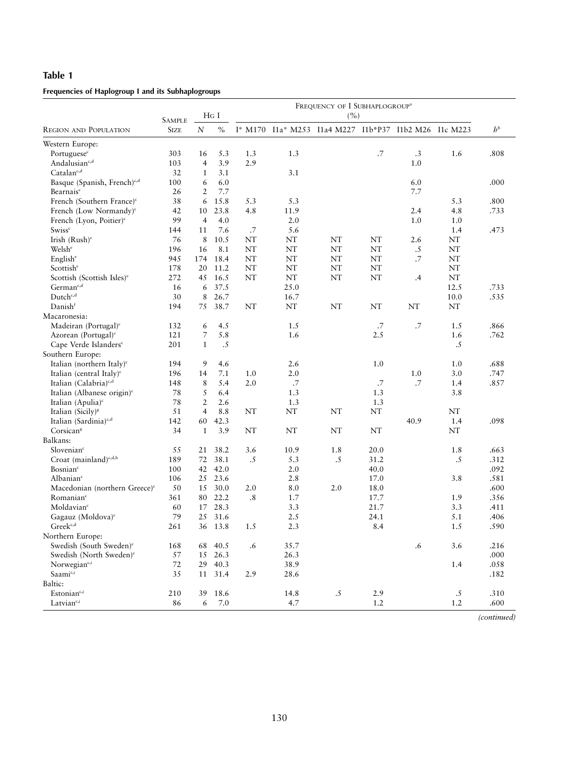# **Table 1**

# **Frequencies of Haplogroup I and its Subhaplogroups**

|                                           | <b>SAMPLE</b> | $HG$ I         |         | FREQUENCY OF I SUBHAPLOGROUP <sup>a</sup><br>(%) |           |                                                       |        |           |      |             |
|-------------------------------------------|---------------|----------------|---------|--------------------------------------------------|-----------|-------------------------------------------------------|--------|-----------|------|-------------|
| <b>REGION AND POPULATION</b>              | <b>SIZE</b>   | $\cal N$       | $\%$    |                                                  |           | I* M170 I1a* M253 I1a4 M227 I1b*P37 I1b2 M26 I1c M223 |        |           |      | $h^{\rm b}$ |
| Western Europe:                           |               |                |         |                                                  |           |                                                       |        |           |      |             |
| Portuguese <sup>c</sup>                   | 303           | 16             | 5.3     | 1.3                                              | 1.3       |                                                       | $.7\,$ | .3        | 1.6  | .808        |
| Andalusian <sup>c,d</sup>                 | 103           | $\overline{4}$ | 3.9     | 2.9                                              |           |                                                       |        | 1.0       |      |             |
| Catalanc,d                                | 32            | 1              | 3.1     |                                                  | 3.1       |                                                       |        |           |      |             |
| Basque (Spanish, French) <sup>c,d</sup>   | 100           | 6              | 6.0     |                                                  |           |                                                       |        | 6.0       |      | .000        |
| Bearnais <sup>c</sup>                     | 26            | $\overline{2}$ | 7.7     |                                                  |           |                                                       |        | 7.7       |      |             |
| French (Southern France) <sup>c</sup>     | 38            | 6              | 15.8    | 5.3                                              | 5.3       |                                                       |        |           | 5.3  | .800        |
| French (Low Normandy) <sup>c</sup>        | 42            | 10             | 23.8    | 4.8                                              | 11.9      |                                                       |        | 2.4       | 4.8  | .733        |
| French (Lyon, Poitier) <sup>c</sup>       | 99            | $\overline{4}$ | 4.0     |                                                  | 2.0       |                                                       |        | 1.0       | 1.0  |             |
| <b>Swiss</b> <sup>c</sup>                 | 144           | 11             | 7.6     | .7                                               | 5.6       |                                                       |        |           | 1.4  | .473        |
| Irish $(Rush)^e$                          | 76            | 8              | 10.5    | NT                                               | NT        | NT                                                    | NT     | 2.6       | NΤ   |             |
| Welsh <sup>e</sup>                        | 196           | 16             | 8.1     | NT                                               | $\rm{NT}$ | NT                                                    | NT     | .5        | NT   |             |
| English <sup>e</sup>                      | 945           | 174            | 18.4    | NT                                               | $\rm{NT}$ | NT                                                    | NT     | .7        | NT   |             |
| Scottish <sup>e</sup>                     | 178           | 20             | 11.2    | NT                                               | NT        | NT                                                    | NT     |           | NT   |             |
| Scottish (Scottish Isles) <sup>e</sup>    | 272           | 45             | 16.5    | NT                                               | $\rm{NT}$ | NT                                                    | NT     | .4        | NT   |             |
| $German^{c,d}$                            | 16            | 6              | 37.5    |                                                  | 25.0      |                                                       |        |           | 12.5 | .733        |
| Dutch <sup>c,d</sup>                      | 30            | 8              | 26.7    |                                                  | 16.7      |                                                       |        |           | 10.0 | .535        |
| Danishf                                   | 194           | 75             | 38.7    | NT                                               | $\rm{NT}$ | NT                                                    | NT     | NT        | NT   |             |
| Macaronesia:                              |               |                |         |                                                  |           |                                                       |        |           |      |             |
| Madeiran (Portugal) $\text{°}$            | 132           | 6              | 4.5     |                                                  | 1.5       |                                                       | .7     | .7        | 1.5  | .866        |
| Azorean (Portugal) <sup>c</sup>           | 121           | 7              | 5.8     |                                                  | 1.6       |                                                       | 2.5    |           | 1.6  | .762        |
| Cape Verde Islanders <sup>c</sup>         | 201           | $\mathbf{1}$   | .5      |                                                  |           |                                                       |        |           | .5   |             |
| Southern Europe:                          |               |                |         |                                                  |           |                                                       |        |           |      |             |
| Italian (northern Italy) <sup>c</sup>     | 194           | 9              | 4.6     |                                                  | 2.6       |                                                       | 1.0    |           | 1.0  | .688        |
| Italian (central Italy) <sup>c</sup>      | 196           | 14             | 7.1     | 1.0                                              | 2.0       |                                                       |        | 1.0       | 3.0  | .747        |
| Italian (Calabria) <sup>c,d</sup>         | 148           | 8              | 5.4     | 2.0                                              | .7        |                                                       | .7     | .7        | 1.4  | .857        |
| Italian (Albanese origin) <sup>c</sup>    | 78            | 5              | 6.4     |                                                  | 1.3       |                                                       | 1.3    |           | 3.8  |             |
| Italian (Apulia) <sup>c</sup>             | 78            | $\overline{2}$ | 2.6     |                                                  | 1.3       |                                                       | 1.3    |           |      |             |
| Italian (Sicily) <sup>8</sup>             | 51            | 4              | 8.8     | NT                                               | $\rm{NT}$ | NT                                                    | NT     |           | NT   |             |
| Italian (Sardinia) <sup>c,d</sup>         | 142           | 60             | 42.3    |                                                  |           |                                                       |        | 40.9      | 1.4  | .098        |
| Corsican <sup>8</sup>                     | 34            | $\mathbf{1}$   | 3.9     | NT                                               | NT        | NT                                                    | NT     |           | NT   |             |
| Balkans:                                  |               |                |         |                                                  |           |                                                       |        |           |      |             |
| Slovenian <sup>c</sup>                    | 55            | 21             | 38.2    | 3.6                                              | 10.9      | 1.8                                                   | 20.0   |           | 1.8  | .663        |
| Croat (mainland) <sup>c,d,h</sup>         | 189           | 72             | 38.1    | .5                                               | 5.3       | .5                                                    | 31.2   |           | .5   | .312        |
| Bosnian <sup>c</sup>                      | 100           | 42             | 42.0    |                                                  | 2.0       |                                                       | 40.0   |           |      | .092        |
| Albanian <sup>c</sup>                     | 106           | 25             | 23.6    |                                                  | 2.8       |                                                       | 17.0   |           | 3.8  | .581        |
| Macedonian (northern Greece) <sup>c</sup> | 50            | 15             | 30.0    | 2.0                                              | 8.0       | 2.0                                                   | 18.0   |           |      | .600        |
| Romanian <sup>c</sup>                     | 361           | 80             | 22.2    | .8                                               | 1.7       |                                                       | 17.7   |           | 1.9  | .356        |
| Moldavian <sup>c</sup>                    | 60            | 17             | 28.3    |                                                  | 3.3       |                                                       | 21.7   |           | 3.3  | .411        |
| Gagauz (Moldova) <sup>c</sup>             | 79            | 25             | 31.6    |                                                  | 2.5       |                                                       | 24.1   |           | 5.1  | .406        |
| Greek <sup>c,d</sup>                      | 261           | $36\,$         | 13.8    | 1.5                                              | 2.3       |                                                       | 8.4    |           | 1.5  | .590        |
| Northern Europe:                          |               |                |         |                                                  |           |                                                       |        |           |      |             |
| Swedish (South Sweden) <sup>c</sup>       | 168           | 68             | 40.5    | .6                                               | 35.7      |                                                       |        | $\cdot 6$ | 3.6  | .216        |
| Swedish (North Sweden) <sup>c</sup>       | 57            | 15             | 26.3    |                                                  | 26.3      |                                                       |        |           |      | .000        |
| Norwegian <sup>c,i</sup>                  | 72            | 29             | 40.3    |                                                  | 38.9      |                                                       |        |           | 1.4  | .058        |
| Saami <sup>c,j</sup>                      | 35            | 11             | 31.4    | 2.9                                              | 28.6      |                                                       |        |           |      | .182        |
| Baltic:                                   |               |                |         |                                                  |           |                                                       |        |           |      |             |
| Estonian <sup>c,j</sup>                   | 210           | 39             | 18.6    |                                                  | 14.8      | $.5\,$                                                | 2.9    |           | .5   | .310        |
| Latvian <sup>c,j</sup>                    | 86            | 6              | $7.0\,$ |                                                  | 4.7       |                                                       | 1.2    |           | 1.2  | .600        |

*(continued)*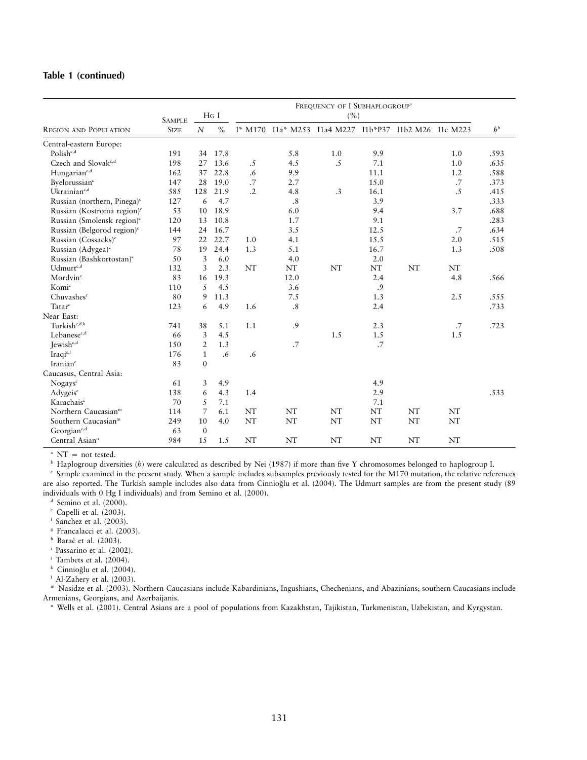## **Table 1 (continued)**

|                                         | <b>SAMPLE</b> | $HG$ I         |               | FREQUENCY OF I SUBHAPLOGROUP <sup>a</sup><br>(%) |                                                       |     |      |    |     |             |
|-----------------------------------------|---------------|----------------|---------------|--------------------------------------------------|-------------------------------------------------------|-----|------|----|-----|-------------|
| <b>REGION AND POPULATION</b>            | <b>SIZE</b>   | $\mathbf N$    | $\frac{0}{0}$ |                                                  | I* M170 I1a* M253 I1a4 M227 I1b*P37 I1b2 M26 I1c M223 |     |      |    |     | $h^{\rm b}$ |
| Central-eastern Europe:                 |               |                |               |                                                  |                                                       |     |      |    |     |             |
| Polish <sub>c,d</sub>                   | 191           | 34             | 17.8          |                                                  | 5.8                                                   | 1.0 | 9.9  |    | 1.0 | .593        |
| Czech and Slovak <sup>c,d</sup>         | 198           | 27             | 13.6          | .5                                               | 4.5                                                   | .5  | 7.1  |    | 1.0 | .635        |
| Hungarian <sup>c,d</sup>                | 162           | 37             | 22.8          | .6                                               | 9.9                                                   |     | 11.1 |    | 1.2 | .588        |
| Byelorussian <sup>c</sup>               | 147           | 28             | 19.0          | .7                                               | 2.7                                                   |     | 15.0 |    | .7  | .373        |
| Ukrainian <sup>e,d</sup>                | 585           | 128            | 21.9          | $\cdot$ .2                                       | 4.8                                                   | .3  | 16.1 |    | .5  | .415        |
| Russian (northern, Pinega) <sup>c</sup> | 127           | 6              | 4.7           |                                                  | .8                                                    |     | 3.9  |    |     | .333        |
| Russian (Kostroma region) <sup>c</sup>  | 53            | 10             | 18.9          |                                                  | 6.0                                                   |     | 9.4  |    | 3.7 | .688        |
| Russian (Smolensk region) <sup>c</sup>  | 120           | 13             | 10.8          |                                                  | 1.7                                                   |     | 9.1  |    |     | .283        |
| Russian (Belgorod region) <sup>c</sup>  | 144           | 24             | 16.7          |                                                  | 3.5                                                   |     | 12.5 |    | .7  | .634        |
| Russian (Cossacks) <sup>c</sup>         | 97            | 22             | 22.7          | 1.0                                              | 4.1                                                   |     | 15.5 |    | 2.0 | .515        |
| Russian (Adygea) <sup>c</sup>           | 78            | 19             | 24.4          | 1.3                                              | 5.1                                                   |     | 16.7 |    | 1.3 | .508        |
| Russian (Bashkortostan) <sup>c</sup>    | 50            | 3              | 6.0           |                                                  | 4.0                                                   |     | 2.0  |    |     |             |
| Udmurt <sup>c,d</sup>                   | 132           | 3              | 2.3           | NT                                               | <b>NT</b>                                             | NT  | NT   | NT | NT  |             |
| Mordvin <sup>c</sup>                    | 83            | 16             | 19.3          |                                                  | 12.0                                                  |     | 2.4  |    | 4.8 | .566        |
| Komic                                   | 110           | 5              | 4.5           |                                                  | 3.6                                                   |     | .9   |    |     |             |
| Chuvashes <sup>c</sup>                  | 80            | 9              | 11.3          |                                                  | 7.5                                                   |     | 1.3  |    | 2.5 | .555        |
| Tatarc                                  | 123           | 6              | 4.9           | 1.6                                              | .8                                                    |     | 2.4  |    |     | .733        |
| Near East:                              |               |                |               |                                                  |                                                       |     |      |    |     |             |
| Turkish <sup>c,d,k</sup>                | 741           | 38             | 5.1           | 1.1                                              | .9                                                    |     | 2.3  |    | .7  | .723        |
| Lebanese <sup>c,d</sup>                 | 66            | 3              | 4.5           |                                                  |                                                       | 1.5 | 1.5  |    | 1.5 |             |
| Jewish <sup>c,d</sup>                   | 150           | $\overline{2}$ | 1.3           |                                                  | .7                                                    |     | .7   |    |     |             |
| Iraqi <sup>c,l</sup>                    | 176           | $\mathbf{1}$   | .6            | .6                                               |                                                       |     |      |    |     |             |
| Iranian <sup>c</sup>                    | 83            | $\Omega$       |               |                                                  |                                                       |     |      |    |     |             |
| Caucasus, Central Asia:                 |               |                |               |                                                  |                                                       |     |      |    |     |             |
| Nogays <sup>c</sup>                     | 61            | 3              | 4.9           |                                                  |                                                       |     | 4.9  |    |     |             |
| Adygeis <sup>c</sup>                    | 138           | 6              | 4.3           | 1.4                                              |                                                       |     | 2.9  |    |     | .533        |
| Karachais <sup>c</sup>                  | 70            | 5              | 7.1           |                                                  |                                                       |     | 7.1  |    |     |             |
| Northern Caucasian <sup>m</sup>         | 114           | 7              | 6.1           | NT                                               | NT                                                    | NT  | NT   | NT | NT  |             |
| Southern Caucasian <sup>m</sup>         | 249           | 10             | 4.0           | NT                                               | NT                                                    | NT  | NT   | NT | NT  |             |
| Georgian <sup>c,d</sup>                 | 63            | $\mathbf{0}$   |               |                                                  |                                                       |     |      |    |     |             |
| Central Asian <sup>n</sup>              | 984           | 15             | 1.5           | NT                                               | NT                                                    | NT  | NT   | NT | NT  |             |

 $^{\circ}$  NT = not tested.

<sup>b</sup> Haplogroup diversities (*h*) were calculated as described by Nei (1987) if more than five Y chromosomes belonged to haplogroup I.

<sup>c</sup> Sample examined in the present study. When a sample includes subsamples previously tested for the M170 mutation, the relative references are also reported. The Turkish sample includes also data from Cinnioğlu et al. (2004). The Udmurt samples are from the present study (89 individuals with 0 Hg I individuals) and from Semino et al. (2000).

 $d$  Semino et al. (2000).

<sup>e</sup> Capelli et al. (2003).

 $f$  Sanchez et al. (2003).

<sup>8</sup> Francalacci et al. (2003).

 $h$  Barać et al. (2003).

<sup>i</sup> Passarino et al. (2002).

<sup>j</sup> Tambets et al. (2004).

<sup>k</sup> Cinnioğlu et al. (2004).

 $^{\rm l}$  Al-Zahery et al. (2003).

<sup>m</sup> Nasidze et al. (2003). Northern Caucasians include Kabardinians, Ingushians, Chechenians, and Abazinians; southern Caucasians include Armenians, Georgians, and Azerbaijanis.

<sup>n</sup> Wells et al. (2001). Central Asians are a pool of populations from Kazakhstan, Tajikistan, Turkmenistan, Uzbekistan, and Kyrgystan.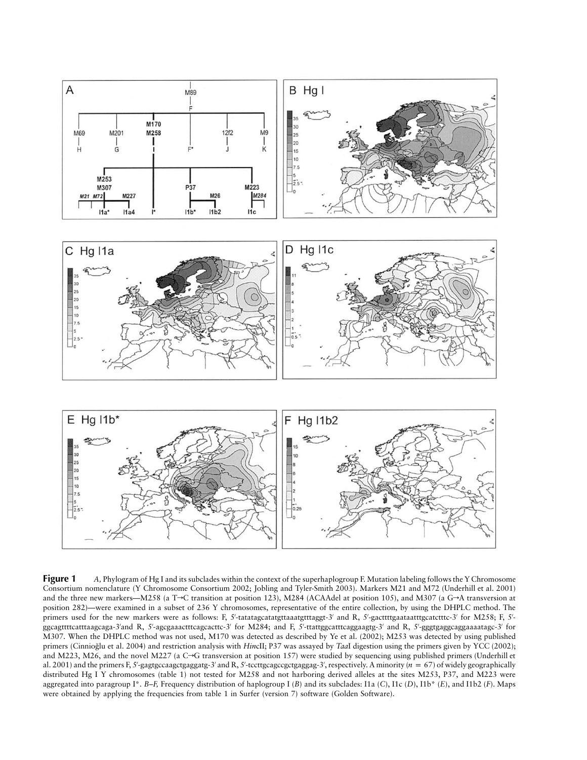

**Figure 1** *A, Phylogram of Hg I and its subclades within the context of the superhaplogroup F. Mutation labeling follows the Y Chromosome* Consortium nomenclature (Y Chromosome Consortium 2002; Jobling and Tyler-Smith 2003). Markers M21 and M72 (Underhill et al. 2001) and the three new markers—M258 (a T $\rightarrow$ C transition at position 123), M284 (ACAAdel at position 105), and M307 (a G $\rightarrow$ A transversion at position 282)—were examined in a subset of 236 Y chromosomes, representative of the entire collection, by using the DHPLC method. The primers used for the new markers were as follows: F, 5'-tatatagcatatgtttaaatgtttaggt-3' and R, 5'-gacttttgaataatttgcatctttc-3' for M258; F, 5'ggcagttttcatttaagcaga-3′and R, 5′-agcgaaactttcagcacttc-3′ for M284; and F, 5′-ttattggcatttcaggaagtg-3′ and R, 5′-gggtgaggcaggaaaatagc-3′ for M307. When the DHPLC method was not used, M170 was detected as described by Ye et al. (2002); M253 was detected by using published primers (Cinniog˘lu et al. 2004) and restriction analysis with *Hin*cII; P37 was assayed by *Taa*I digestion using the primers given by YCC (2002); and M223, M26, and the novel M227 (a  $C \rightarrow G$  transversion at position 157) were studied by sequencing using published primers (Underhill et al. 2001) and the primers F, 5'-gagtgccaagctgaggatg-3' and R, 5'-tccttgcagccgctgaggag-3', respectively. A minority  $(n = 67)$  of widely geographically distributed Hg I Y chromosomes (table 1) not tested for M258 and not harboring derived alleles at the sites M253, P37, and M223 were aggregated into paragroup I\*. *B–F,* Frequency distribution of haplogroup I (*B*) and its subclades: I1a (*C*), I1c (*D*), I1b\* (*E*), and I1b2 (*F*). Maps were obtained by applying the frequencies from table 1 in Surfer (version 7) software (Golden Software).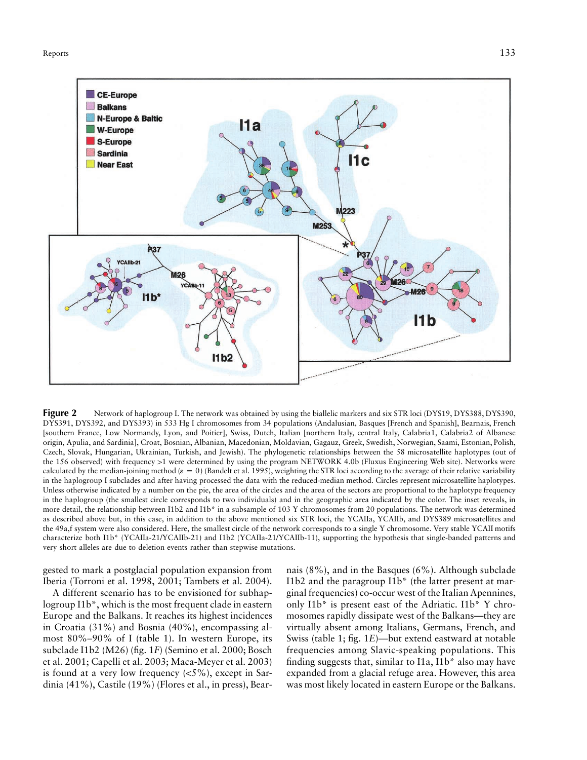

**Figure 2** Network of haplogroup I. The network was obtained by using the biallelic markers and six STR loci (DYS19, DYS388, DYS390, DYS391, DYS392, and DYS393) in 533 Hg I chromosomes from 34 populations (Andalusian, Basques [French and Spanish], Bearnais, French [southern France, Low Normandy, Lyon, and Poitier], Swiss, Dutch, Italian [northern Italy, central Italy, Calabria1, Calabria2 of Albanese origin, Apulia, and Sardinia], Croat, Bosnian, Albanian, Macedonian, Moldavian, Gagauz, Greek, Swedish, Norwegian, Saami, Estonian, Polish, Czech, Slovak, Hungarian, Ukrainian, Turkish, and Jewish). The phylogenetic relationships between the 58 microsatellite haplotypes (out of the 156 observed) with frequency >1 were determined by using the program NETWORK 4.0b (Fluxus Engineering Web site). Networks were calculated by the median-joining method ( $\varepsilon = 0$ ) (Bandelt et al. 1995), weighting the STR loci according to the average of their relative variability in the haplogroup I subclades and after having processed the data with the reduced-median method. Circles represent microsatellite haplotypes. Unless otherwise indicated by a number on the pie, the area of the circles and the area of the sectors are proportional to the haplotype frequency in the haplogroup (the smallest circle corresponds to two individuals) and in the geographic area indicated by the color. The inset reveals, in more detail, the relationship between I1b2 and I1b\* in a subsample of 103 Y chromosomes from 20 populations. The network was determined as described above but, in this case, in addition to the above mentioned six STR loci, the YCAIIa, YCAIIb, and DYS389 microsatellites and the 49a,f system were also considered. Here, the smallest circle of the network corresponds to a single Y chromosome. Very stable YCAII motifs characterize both I1b\* (YCAIIa-21/YCAIIb-21) and I1b2 (YCAIIa-21/YCAIIb-11), supporting the hypothesis that single-banded patterns and very short alleles are due to deletion events rather than stepwise mutations.

gested to mark a postglacial population expansion from Iberia (Torroni et al. 1998, 2001; Tambets et al. 2004).

A different scenario has to be envisioned for subhaplogroup I1b\*, which is the most frequent clade in eastern Europe and the Balkans. It reaches its highest incidences in Croatia (31%) and Bosnia (40%), encompassing almost 80%–90% of I (table 1). In western Europe, its subclade I1b2 (M26) (fig. 1*F*) (Semino et al. 2000; Bosch et al. 2001; Capelli et al. 2003; Maca-Meyer et al. 2003) is found at a very low frequency  $(<5\%)$ , except in Sardinia (41%), Castile (19%) (Flores et al., in press), Bear-

nais (8%), and in the Basques (6%). Although subclade I1b2 and the paragroup I1b\* (the latter present at marginal frequencies) co-occur west of the Italian Apennines, only I1b\* is present east of the Adriatic. I1b\* Y chromosomes rapidly dissipate west of the Balkans—they are virtually absent among Italians, Germans, French, and Swiss (table 1; fig. 1*E*)—but extend eastward at notable frequencies among Slavic-speaking populations. This finding suggests that, similar to I1a, I1b\* also may have expanded from a glacial refuge area. However, this area was most likely located in eastern Europe or the Balkans.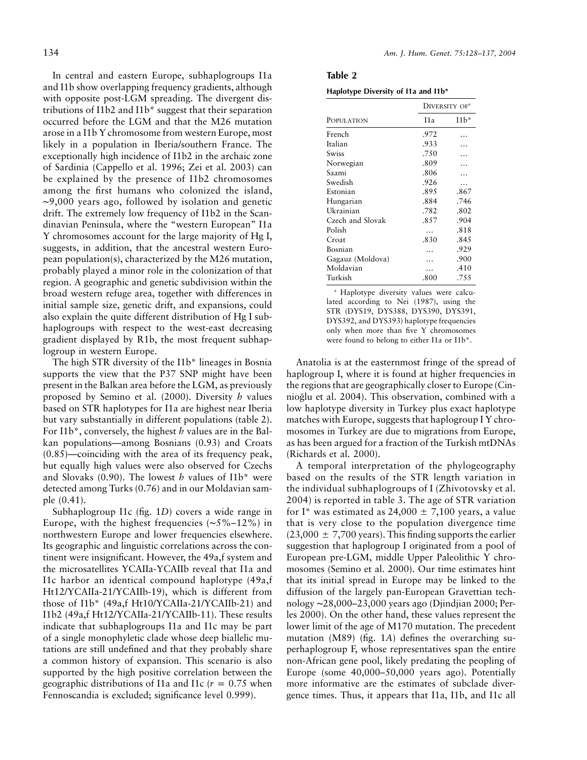In central and eastern Europe, subhaplogroups I1a and I1b show overlapping frequency gradients, although with opposite post-LGM spreading. The divergent distributions of I1b2 and I1b\* suggest that their separation occurred before the LGM and that the M26 mutation arose in a I1b Y chromosome from western Europe, most likely in a population in Iberia/southern France. The exceptionally high incidence of I1b2 in the archaic zone of Sardinia (Cappello et al. 1996; Zei et al. 2003) can be explained by the presence of I1b2 chromosomes among the first humans who colonized the island, ∼9,000 years ago, followed by isolation and genetic drift. The extremely low frequency of I1b2 in the Scandinavian Peninsula, where the "western European" I1a Y chromosomes account for the large majority of Hg I, suggests, in addition, that the ancestral western European population(s), characterized by the M26 mutation, probably played a minor role in the colonization of that region. A geographic and genetic subdivision within the broad western refuge area, together with differences in initial sample size, genetic drift, and expansions, could also explain the quite different distribution of Hg I subhaplogroups with respect to the west-east decreasing gradient displayed by R1b, the most frequent subhaplogroup in western Europe.

The high STR diversity of the I1b\* lineages in Bosnia supports the view that the P37 SNP might have been present in the Balkan area before the LGM, as previously proposed by Semino et al. (2000). Diversity *h* values based on STR haplotypes for I1a are highest near Iberia but vary substantially in different populations (table 2). For I1b\*, conversely, the highest *h* values are in the Balkan populations—among Bosnians (0.93) and Croats (0.85)—coinciding with the area of its frequency peak, but equally high values were also observed for Czechs and Slovaks (0.90). The lowest *h* values of I1b\* were detected among Turks (0.76) and in our Moldavian sample (0.41).

Subhaplogroup I1c (fig. 1*D*) covers a wide range in Europe, with the highest frequencies (∼5%–12%) in northwestern Europe and lower frequencies elsewhere. Its geographic and linguistic correlations across the continent were insignificant. However, the 49a,f system and the microsatellites YCAIIa-YCAIIb reveal that I1a and I1c harbor an identical compound haplotype (49a,f Ht12/YCAIIa-21/YCAIIb-19), which is different from those of I1b\* (49a,f Ht10/YCAIIa-21/YCAIIb-21) and I1b2 (49a,f Ht12/YCAIIa-21/YCAIIb-11). These results indicate that subhaplogroups I1a and I1c may be part of a single monophyletic clade whose deep biallelic mutations are still undefined and that they probably share a common history of expansion. This scenario is also supported by the high positive correlation between the geographic distributions of I1a and I1c ( $r = 0.75$  when Fennoscandia is excluded; significance level 0.999).

| Table 2                             |  |
|-------------------------------------|--|
| Haplotype Diversity of I1a and I1b* |  |

|                  |      | DIVERSITY OF <sup>a</sup> |  |  |
|------------------|------|---------------------------|--|--|
| POPULATION       | I1a  | $11b^*$                   |  |  |
| French           | .972 |                           |  |  |
| Italian          | .933 |                           |  |  |
| Swiss            | .750 |                           |  |  |
| Norwegian        | .809 |                           |  |  |
| Saami            | .806 |                           |  |  |
| Swedish          | .926 |                           |  |  |
| Estonian         | .895 | .867                      |  |  |
| Hungarian        | .884 | .746                      |  |  |
| Ukrainian        | .782 | .802                      |  |  |
| Czech and Slovak | .857 | .904                      |  |  |
| Polish           | .    | .818                      |  |  |
| Croat            | .830 | .845                      |  |  |
| Bosnian          |      | .929                      |  |  |
| Gagauz (Moldova) |      | .900                      |  |  |
| Moldavian        |      | .410                      |  |  |
| Turkish          | .800 | .755                      |  |  |

<sup>a</sup> Haplotype diversity values were calculated according to Nei (1987), using the STR (DYS19, DYS388, DYS390, DYS391, DYS392, and DYS393) haplotype frequencies only when more than five Y chromosomes were found to belong to either I1a or I1b\*.

Anatolia is at the easternmost fringe of the spread of haplogroup I, where it is found at higher frequencies in the regions that are geographically closer to Europe (Cinnioglu et al. 2004). This observation, combined with a low haplotype diversity in Turkey plus exact haplotype matches with Europe, suggests that haplogroup I Y chromosomes in Turkey are due to migrations from Europe, as has been argued for a fraction of the Turkish mtDNAs (Richards et al. 2000).

A temporal interpretation of the phylogeography based on the results of the STR length variation in the individual subhaplogroups of I (Zhivotovsky et al. 2004) is reported in table 3. The age of STR variation for I\* was estimated as 24,000  $\pm$  7,100 years, a value that is very close to the population divergence time  $(23,000 \pm 7,700 \,\text{years})$ . This finding supports the earlier suggestion that haplogroup I originated from a pool of European pre-LGM, middle Upper Paleolithic Y chromosomes (Semino et al. 2000). Our time estimates hint that its initial spread in Europe may be linked to the diffusion of the largely pan-European Gravettian technology ∼28,000–23,000 years ago (Djindjian 2000; Perles 2000). On the other hand, these values represent the lower limit of the age of M170 mutation. The precedent mutation (M89) (fig. 1*A*) defines the overarching superhaplogroup F, whose representatives span the entire non-African gene pool, likely predating the peopling of Europe (some 40,000–50,000 years ago). Potentially more informative are the estimates of subclade divergence times. Thus, it appears that I1a, I1b, and I1c all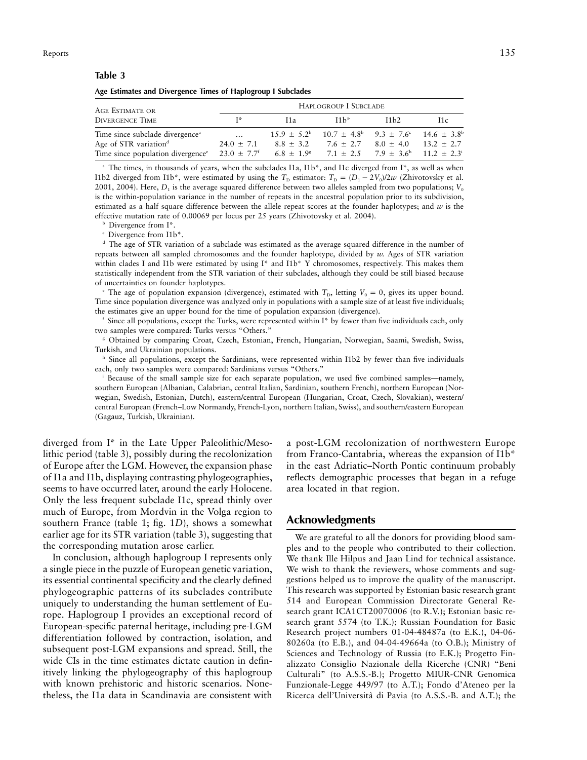#### **Table 3**

**Age Estimates and Divergence Times of Haplogroup I Subclades**

| AGE ESTIMATE OR                                                                  | HAPLOGROUP I SUBCLADE |                       |                                                                                    |             |              |  |  |  |
|----------------------------------------------------------------------------------|-----------------------|-----------------------|------------------------------------------------------------------------------------|-------------|--------------|--|--|--|
| <b>DIVERGENCE TIME</b>                                                           | T*                    | I1a                   | $11h^*$                                                                            | 11h2        | 11c          |  |  |  |
| Time since subclade divergence <sup>a</sup>                                      | $\cdots$              |                       | $15.9 + 5.2^{\circ}$ $10.7 + 4.8^{\circ}$ $9.3 + 7.6^{\circ}$ $14.6 + 3.8^{\circ}$ |             |              |  |  |  |
| Age of STR variation <sup>d</sup>                                                | $24.0 \pm 7.1$        | $8.8 + 3.2$           | $7.6 + 2.7$                                                                        | $8.0 + 4.0$ | $13.2 + 2.7$ |  |  |  |
| Time since population divergence <sup>e</sup> 23.0 $\pm$ 7.7 <sup><i>f</i></sup> |                       | $6.8 \pm 1.9^{\circ}$ | $7.1 \pm 2.5$ $7.9 \pm 3.6$ $11.2 \pm 2.3$                                         |             |              |  |  |  |

The times, in thousands of years, when the subclades I1a, I1b\*, and I1c diverged from I\*, as well as when I1b2 diverged from I1b<sup>\*</sup>, were estimated by using the  $T_D$  estimator:  $T_D = (D_1 - 2V_0)/2w$  (Zhivotovsky et al. 2001, 2004). Here,  $D_1$  is the average squared difference between two alleles sampled from two populations;  $V_0$ is the within-population variance in the number of repeats in the ancestral population prior to its subdivision, estimated as a half square difference between the allele repeat scores at the founder haplotypes; and *w* is the effective mutation rate of 0.00069 per locus per 25 years (Zhivotovsky et al. 2004).

Divergence from I\*.

<sup>c</sup> Divergence from I1b\*.

<sup>d</sup> The age of STR variation of a subclade was estimated as the average squared difference in the number of repeats between all sampled chromosomes and the founder haplotype, divided by *w.* Ages of STR variation within clades I and I1b were estimated by using I\* and I1b\* Y chromosomes, respectively. This makes them statistically independent from the STR variation of their subclades, although they could be still biased because of uncertainties on founder haplotypes.

<sup>e</sup> The age of population expansion (divergence), estimated with  $T<sub>D</sub>$ , letting  $V<sub>0</sub> = 0$ , gives its upper bound. Time since population divergence was analyzed only in populations with a sample size of at least five individuals; the estimates give an upper bound for the time of population expansion (divergence).

Since all populations, except the Turks, were represented within I\* by fewer than five individuals each, only two samples were compared: Turks versus "Others."

<sup>g</sup> Obtained by comparing Croat, Czech, Estonian, French, Hungarian, Norwegian, Saami, Swedish, Swiss, Turkish, and Ukrainian populations.

h Since all populations, except the Sardinians, were represented within I1b2 by fewer than five individuals each, only two samples were compared: Sardinians versus "Others."

<sup>i</sup> Because of the small sample size for each separate population, we used five combined samples—namely, southern European (Albanian, Calabrian, central Italian, Sardinian, southern French), northern European (Norwegian, Swedish, Estonian, Dutch), eastern/central European (Hungarian, Croat, Czech, Slovakian), western/ central European (French–Low Normandy, French-Lyon, northern Italian, Swiss), and southern/eastern European (Gagauz, Turkish, Ukrainian).

diverged from I\* in the Late Upper Paleolithic/Mesolithic period (table 3), possibly during the recolonization of Europe after the LGM. However, the expansion phase of I1a and I1b, displaying contrasting phylogeographies, seems to have occurred later, around the early Holocene. Only the less frequent subclade I1c, spread thinly over much of Europe, from Mordvin in the Volga region to southern France (table 1; fig. 1*D*), shows a somewhat earlier age for its STR variation (table 3), suggesting that the corresponding mutation arose earlier.

In conclusion, although haplogroup I represents only a single piece in the puzzle of European genetic variation, its essential continental specificity and the clearly defined phylogeographic patterns of its subclades contribute uniquely to understanding the human settlement of Europe. Haplogroup I provides an exceptional record of European-specific paternal heritage, including pre-LGM differentiation followed by contraction, isolation, and subsequent post-LGM expansions and spread. Still, the wide CIs in the time estimates dictate caution in definitively linking the phylogeography of this haplogroup with known prehistoric and historic scenarios. Nonetheless, the I1a data in Scandinavia are consistent with

a post-LGM recolonization of northwestern Europe from Franco-Cantabria, whereas the expansion of I1b\* in the east Adriatic–North Pontic continuum probably reflects demographic processes that began in a refuge area located in that region.

# **Acknowledgments**

We are grateful to all the donors for providing blood samples and to the people who contributed to their collection. We thank Ille Hilpus and Jaan Lind for technical assistance. We wish to thank the reviewers, whose comments and suggestions helped us to improve the quality of the manuscript. This research was supported by Estonian basic research grant 514 and European Commission Directorate General Research grant ICA1CT20070006 (to R.V.); Estonian basic research grant 5574 (to T.K.); Russian Foundation for Basic Research project numbers 01-04-48487a (to E.K.), 04-06- 80260a (to E.B.), and 04-04-49664a (to O.B.); Ministry of Sciences and Technology of Russia (to E.K.); Progetto Finalizzato Consiglio Nazionale della Ricerche (CNR) "Beni Culturali" (to A.S.S.-B.); Progetto MIUR-CNR Genomica Funzionale-Legge 449/97 (to A.T.); Fondo d'Ateneo per la Ricerca dell'Universita` di Pavia (to A.S.S.-B. and A.T.); the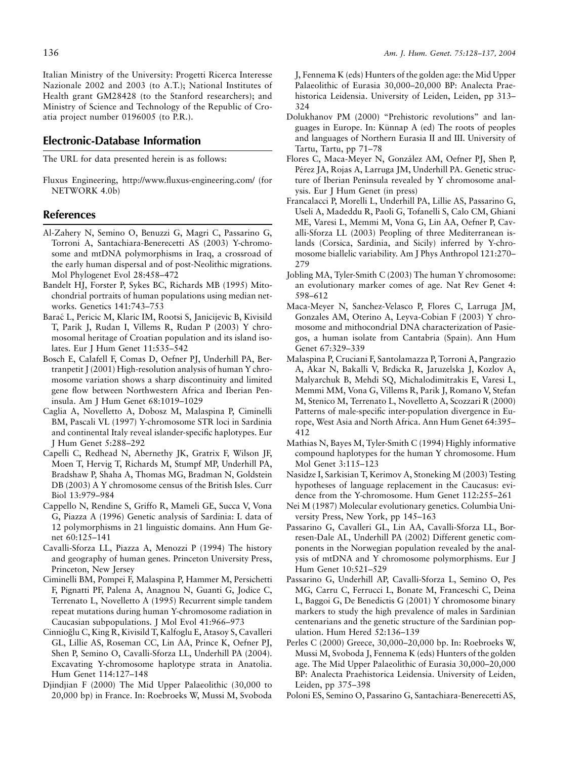136 *Am. J. Hum. Genet. 75:128–137, 2004*

Italian Ministry of the University: Progetti Ricerca Interesse Nazionale 2002 and 2003 (to A.T.); National Institutes of Health grant GM28428 (to the Stanford researchers); and Ministry of Science and Technology of the Republic of Croatia project number 0196005 (to P.R.).

## **Electronic-Database Information**

The URL for data presented herein is as follows:

Fluxus Engineering, http://www.fluxus-engineering.com/ (for NETWORK 4.0b)

### **References**

- Al-Zahery N, Semino O, Benuzzi G, Magri C, Passarino G, Torroni A, Santachiara-Benerecetti AS (2003) Y-chromosome and mtDNA polymorphisms in Iraq, a crossroad of the early human dispersal and of post-Neolithic migrations. Mol Phylogenet Evol 28:458–472
- Bandelt HJ, Forster P, Sykes BC, Richards MB (1995) Mitochondrial portraits of human populations using median networks. Genetics 141:743–753
- Barac´ L, Pericic M, Klaric IM, Rootsi S, Janicijevic B, Kivisild T, Parik J, Rudan I, Villems R, Rudan P (2003) Y chromosomal heritage of Croatian population and its island isolates. Eur J Hum Genet 11:535–542
- Bosch E, Calafell F, Comas D, Oefner PJ, Underhill PA, Bertranpetit J (2001) High-resolution analysis of human Y chromosome variation shows a sharp discontinuity and limited gene flow between Northwestern Africa and Iberian Peninsula. Am J Hum Genet 68:1019–1029
- Caglia A, Novelletto A, Dobosz M, Malaspina P, Ciminelli BM, Pascali VL (1997) Y-chromosome STR loci in Sardinia and continental Italy reveal islander-specific haplotypes. Eur J Hum Genet 5:288–292
- Capelli C, Redhead N, Abernethy JK, Gratrix F, Wilson JF, Moen T, Hervig T, Richards M, Stumpf MP, Underhill PA, Bradshaw P, Shaha A, Thomas MG, Bradman N, Goldstein DB (2003) A Y chromosome census of the British Isles. Curr Biol 13:979–984
- Cappello N, Rendine S, Griffo R, Mameli GE, Succa V, Vona G, Piazza A (1996) Genetic analysis of Sardinia: I. data of 12 polymorphisms in 21 linguistic domains. Ann Hum Genet 60:125–141
- Cavalli-Sforza LL, Piazza A, Menozzi P (1994) The history and geography of human genes. Princeton University Press, Princeton, New Jersey
- Ciminelli BM, Pompei F, Malaspina P, Hammer M, Persichetti F, Pignatti PF, Palena A, Anagnou N, Guanti G, Jodice C, Terrenato L, Novelletto A (1995) Recurrent simple tandem repeat mutations during human Y-chromosome radiation in Caucasian subpopulations. J Mol Evol 41:966–973
- Cinnioğlu C, King R, Kivisild T, Kalfoglu E, Atasoy S, Cavalleri GL, Lillie AS, Roseman CC, Lin AA, Prince K, Oefner PJ, Shen P, Semino O, Cavalli-Sforza LL, Underhill PA (2004). Excavating Y-chromosome haplotype strata in Anatolia. Hum Genet 114:127–148
- Djindjian F (2000) The Mid Upper Palaeolithic (30,000 to 20,000 bp) in France. In: Roebroeks W, Mussi M, Svoboda

J, Fennema K (eds) Hunters of the golden age: the Mid Upper Palaeolithic of Eurasia 30,000–20,000 BP: Analecta Praehistorica Leidensia. University of Leiden, Leiden, pp 313– 324

- Dolukhanov PM (2000) "Prehistoric revolutions" and languages in Europe. In: Künnap A (ed) The roots of peoples and languages of Northern Eurasia II and III. University of Tartu, Tartu, pp 71–78
- Flores C, Maca-Meyer N, González AM, Oefner PJ, Shen P, Pérez JA, Rojas A, Larruga JM, Underhill PA. Genetic structure of Iberian Peninsula revealed by Y chromosome analysis. Eur J Hum Genet (in press)
- Francalacci P, Morelli L, Underhill PA, Lillie AS, Passarino G, Useli A, Madeddu R, Paoli G, Tofanelli S, Calo CM, Ghiani ME, Varesi L, Memmi M, Vona G, Lin AA, Oefner P, Cavalli-Sforza LL (2003) Peopling of three Mediterranean islands (Corsica, Sardinia, and Sicily) inferred by Y-chromosome biallelic variability. Am J Phys Anthropol 121:270– 279
- Jobling MA, Tyler-Smith C (2003) The human Y chromosome: an evolutionary marker comes of age. Nat Rev Genet 4: 598–612
- Maca-Meyer N, Sanchez-Velasco P, Flores C, Larruga JM, Gonzales AM, Oterino A, Leyva-Cobian F (2003) Y chromosome and mithocondrial DNA characterization of Pasiegos, a human isolate from Cantabria (Spain). Ann Hum Genet 67:329–339
- Malaspina P, Cruciani F, Santolamazza P, Torroni A, Pangrazio A, Akar N, Bakalli V, Brdicka R, Jaruzelska J, Kozlov A, Malyarchuk B, Mehdi SQ, Michalodimitrakis E, Varesi L, Memmi MM, Vona G, Villems R, Parik J, Romano V, Stefan M, Stenico M, Terrenato L, Novelletto A, Scozzari R (2000) Patterns of male-specific inter-population divergence in Europe, West Asia and North Africa. Ann Hum Genet 64:395– 412
- Mathias N, Bayes M, Tyler-Smith C (1994) Highly informative compound haplotypes for the human Y chromosome. Hum Mol Genet 3:115–123
- Nasidze I, Sarkisian T, Kerimov A, Stoneking M (2003) Testing hypotheses of language replacement in the Caucasus: evidence from the Y-chromosome. Hum Genet 112:255–261
- Nei M (1987) Molecular evolutionary genetics. Columbia University Press, New York, pp 145–163
- Passarino G, Cavalleri GL, Lin AA, Cavalli-Sforza LL, Borresen-Dale AL, Underhill PA (2002) Different genetic components in the Norwegian population revealed by the analysis of mtDNA and Y chromosome polymorphisms. Eur J Hum Genet 10:521–529
- Passarino G, Underhill AP, Cavalli-Sforza L, Semino O, Pes MG, Carru C, Ferrucci L, Bonate M, Franceschi C, Deina L, Baggoi G, De Benedictis G (2001) Y chromosome binary markers to study the high prevalence of males in Sardinian centenarians and the genetic structure of the Sardinian population. Hum Hered 52:136–139
- Perles C (2000) Greece, 30,000–20,000 bp. In: Roebroeks W, Mussi M, Svoboda J, Fennema K (eds) Hunters of the golden age. The Mid Upper Palaeolithic of Eurasia 30,000–20,000 BP: Analecta Praehistorica Leidensia. University of Leiden, Leiden, pp 375–398
- Poloni ES, Semino O, Passarino G, Santachiara-Benerecetti AS,